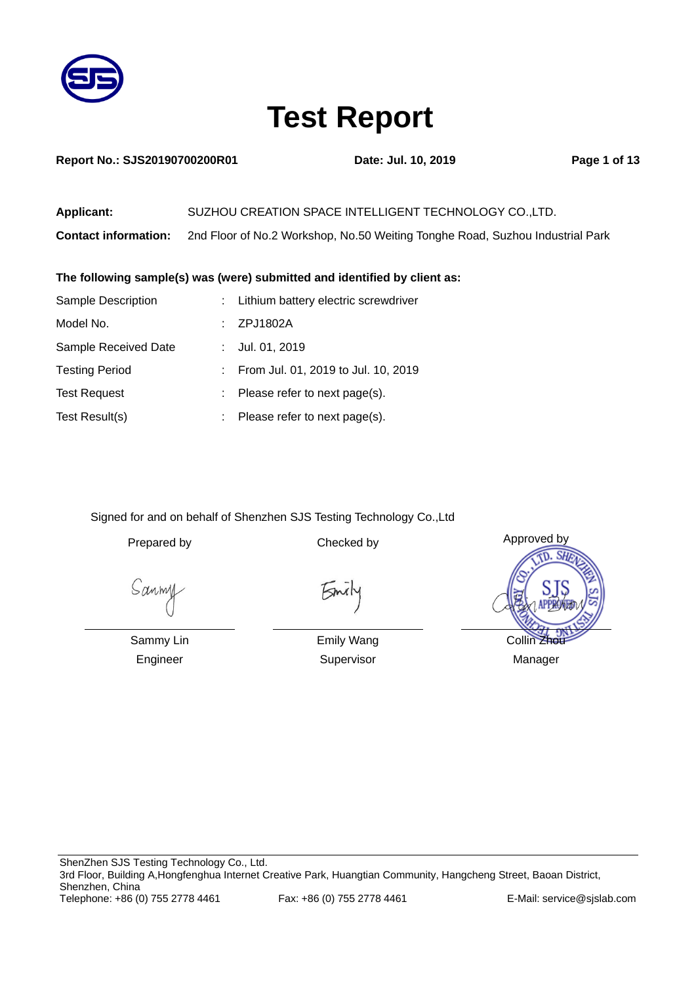

| <b>Report No.: SJS20190700200R01</b> |  |
|--------------------------------------|--|
|--------------------------------------|--|

**Report No. 2019 Page 1 of 13** 

| <b>Applicant:</b>           | SUZHOU CREATION SPACE INTELLIGENT TECHNOLOGY CO., LTD.                        |
|-----------------------------|-------------------------------------------------------------------------------|
| <b>Contact information:</b> | 2nd Floor of No.2 Workshop, No.50 Weiting Tonghe Road, Suzhou Industrial Park |

### **The following sample(s) was (were) submitted and identified by client as:**

| Sample Description    | : Lithium battery electric screwdriver |
|-----------------------|----------------------------------------|
| Model No.             | ZPJ1802A                               |
| Sample Received Date  | Jul. 01, 2019                          |
| <b>Testing Period</b> | From Jul. 01, 2019 to Jul. 10, 2019    |
| <b>Test Request</b>   | Please refer to next page(s).          |
| Test Result(s)        | Please refer to next page(s).          |

Signed for and on behalf of Shenzhen SJS Testing Technology Co.,Ltd

Sanmy

Smil

Sammy Lin Engineer

Emily Wang Supervisor

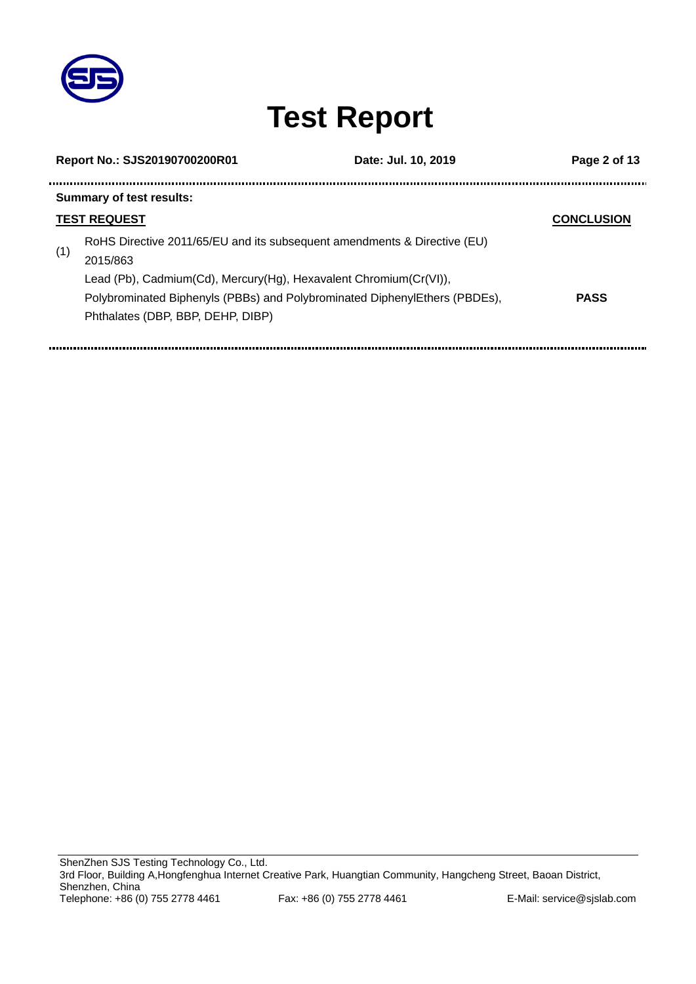

j,

## **Test Report**

|     | Report No.: SJS20190700200R01                                                                                                                             | Date: Jul. 10, 2019 | Page 2 of 13      |
|-----|-----------------------------------------------------------------------------------------------------------------------------------------------------------|---------------------|-------------------|
|     | <b>Summary of test results:</b>                                                                                                                           |                     |                   |
|     | <b>TEST REQUEST</b>                                                                                                                                       |                     | <b>CONCLUSION</b> |
| (1) | RoHS Directive 2011/65/EU and its subsequent amendments & Directive (EU)<br>2015/863<br>Lead (Pb), Cadmium(Cd), Mercury(Hg), Hexavalent Chromium(Cr(VI)), |                     |                   |
|     | Polybrominated Biphenyls (PBBs) and Polybrominated DiphenylEthers (PBDEs),<br>Phthalates (DBP, BBP, DEHP, DIBP)                                           |                     | <b>PASS</b>       |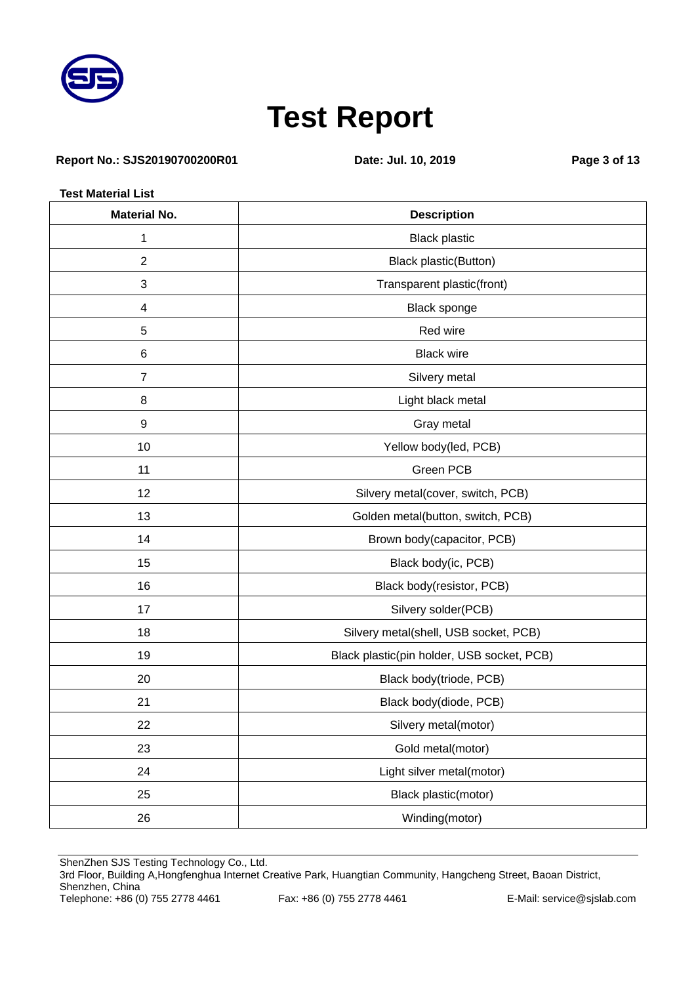

### **Report No.: SJS20190700200R01 Date: Jul. 10, 2019 Page 3 of 13**

**Test Material List**

| <b>Material No.</b><br><b>Description</b> |                                            |  |  |  |  |  |
|-------------------------------------------|--------------------------------------------|--|--|--|--|--|
| 1                                         | <b>Black plastic</b>                       |  |  |  |  |  |
| $\sqrt{2}$                                | Black plastic(Button)                      |  |  |  |  |  |
| $\sqrt{3}$                                | Transparent plastic(front)                 |  |  |  |  |  |
| 4                                         | Black sponge                               |  |  |  |  |  |
| 5                                         | Red wire                                   |  |  |  |  |  |
| $\,6$                                     | <b>Black wire</b>                          |  |  |  |  |  |
| $\overline{7}$                            | Silvery metal                              |  |  |  |  |  |
| 8                                         | Light black metal                          |  |  |  |  |  |
| $\boldsymbol{9}$                          | Gray metal                                 |  |  |  |  |  |
| 10                                        | Yellow body(led, PCB)                      |  |  |  |  |  |
| 11                                        | Green PCB                                  |  |  |  |  |  |
| 12                                        | Silvery metal(cover, switch, PCB)          |  |  |  |  |  |
| 13                                        | Golden metal(button, switch, PCB)          |  |  |  |  |  |
| 14                                        | Brown body(capacitor, PCB)                 |  |  |  |  |  |
| 15                                        | Black body(ic, PCB)                        |  |  |  |  |  |
| 16                                        | Black body(resistor, PCB)                  |  |  |  |  |  |
| 17                                        | Silvery solder(PCB)                        |  |  |  |  |  |
| 18                                        | Silvery metal(shell, USB socket, PCB)      |  |  |  |  |  |
| 19                                        | Black plastic(pin holder, USB socket, PCB) |  |  |  |  |  |
| 20                                        | Black body(triode, PCB)                    |  |  |  |  |  |
| 21                                        | Black body(diode, PCB)                     |  |  |  |  |  |
| 22                                        | Silvery metal(motor)                       |  |  |  |  |  |
| 23                                        | Gold metal(motor)                          |  |  |  |  |  |
| 24                                        | Light silver metal(motor)                  |  |  |  |  |  |
| 25                                        | Black plastic(motor)                       |  |  |  |  |  |
| 26                                        | Winding(motor)                             |  |  |  |  |  |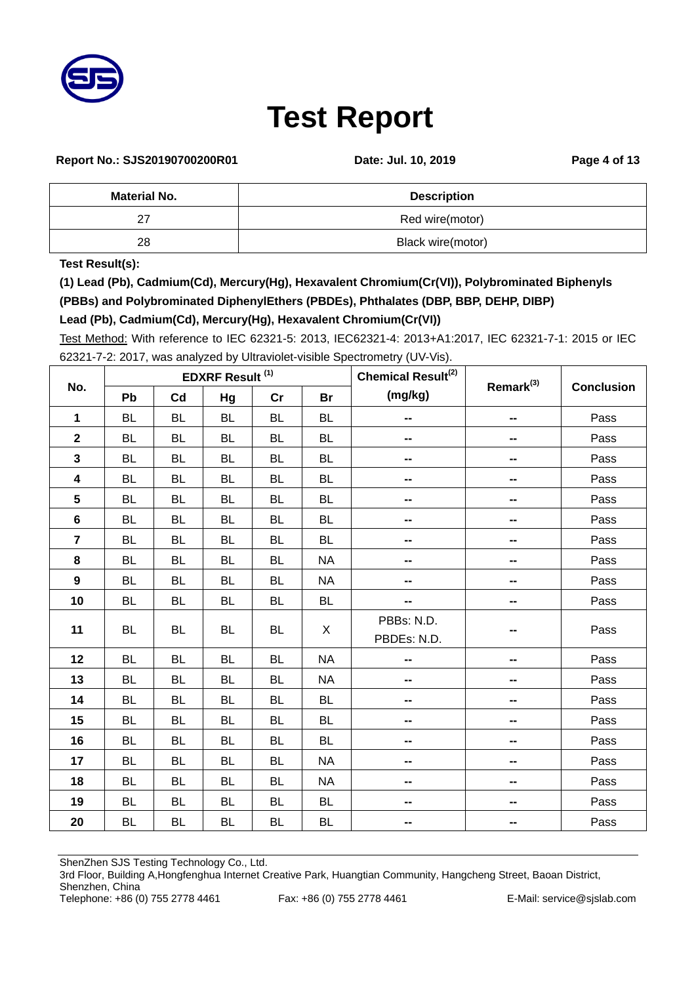

### **Report No.: SJS20190700200R01 Date: Jul. 10, 2019 Page 4 of 13**

| <b>Material No.</b> | <b>Description</b> |
|---------------------|--------------------|
|                     | Red wire(motor)    |
| 28                  | Black wire(motor)  |

**Test Result(s):**

**(1) Lead (Pb), Cadmium(Cd), Mercury(Hg), Hexavalent Chromium(Cr(VI)), Polybrominated Biphenyls (PBBs) and Polybrominated DiphenylEthers (PBDEs), Phthalates (DBP, BBP, DEHP, DIBP)**

### **Lead (Pb), Cadmium(Cd), Mercury(Hg), Hexavalent Chromium(Cr(VI))**

Test Method: With reference to IEC 62321-5: 2013, IEC62321-4: 2013+A1:2017, IEC 62321-7-1: 2015 or IEC 62321-7-2: 2017, was analyzed by Ultraviolet-visible Spectrometry (UV-Vis).

|                         | <b>EDXRF Result (1)</b> |           |           |           |           | Chemical Result <sup>(2)</sup> | Remark <sup>(3)</sup>    |                   |
|-------------------------|-------------------------|-----------|-----------|-----------|-----------|--------------------------------|--------------------------|-------------------|
| No.                     | Pb                      | Cd        | Hg        | cr        | <b>Br</b> | (mg/kg)                        |                          | <b>Conclusion</b> |
| 1                       | <b>BL</b>               | <b>BL</b> | <b>BL</b> | <b>BL</b> | <b>BL</b> | --                             |                          | Pass              |
| $\overline{\mathbf{2}}$ | <b>BL</b>               | <b>BL</b> | <b>BL</b> | <b>BL</b> | <b>BL</b> | --                             |                          | Pass              |
| $\overline{\mathbf{3}}$ | <b>BL</b>               | <b>BL</b> | <b>BL</b> | <b>BL</b> | <b>BL</b> | $\overline{\phantom{a}}$       | --                       | Pass              |
| $\overline{\mathbf{4}}$ | <b>BL</b>               | <b>BL</b> | <b>BL</b> | <b>BL</b> | <b>BL</b> | --                             | --                       | Pass              |
| 5                       | <b>BL</b>               | <b>BL</b> | <b>BL</b> | <b>BL</b> | <b>BL</b> | --                             | --                       | Pass              |
| $\bf 6$                 | <b>BL</b>               | <b>BL</b> | <b>BL</b> | <b>BL</b> | <b>BL</b> | $\mathbf{m}$                   | --                       | Pass              |
| $\overline{7}$          | <b>BL</b>               | <b>BL</b> | <b>BL</b> | <b>BL</b> | <b>BL</b> | $\overline{\phantom{a}}$       | $\overline{\phantom{a}}$ | Pass              |
| 8                       | <b>BL</b>               | <b>BL</b> | <b>BL</b> | <b>BL</b> | <b>NA</b> | --                             | --                       | Pass              |
| $\overline{9}$          | <b>BL</b>               | <b>BL</b> | <b>BL</b> | <b>BL</b> | <b>NA</b> | --                             | $\overline{\phantom{a}}$ | Pass              |
| 10                      | <b>BL</b>               | <b>BL</b> | <b>BL</b> | <b>BL</b> | <b>BL</b> | --                             | --                       | Pass              |
| 11                      | <b>BL</b>               | <b>BL</b> | <b>BL</b> | <b>BL</b> | X         | PBBs: N.D.<br>PBDEs: N.D.      |                          | Pass              |
| 12                      | <b>BL</b>               | <b>BL</b> | <b>BL</b> | <b>BL</b> | <b>NA</b> | $\overline{\phantom{a}}$       | --                       | Pass              |
| 13                      | <b>BL</b>               | <b>BL</b> | <b>BL</b> | <b>BL</b> | <b>NA</b> | $\overline{\phantom{a}}$       | $\overline{\phantom{a}}$ | Pass              |
| 14                      | <b>BL</b>               | <b>BL</b> | BL        | <b>BL</b> | <b>BL</b> | $\overline{\phantom{a}}$       | $\overline{\phantom{a}}$ | Pass              |
| 15                      | <b>BL</b>               | <b>BL</b> | <b>BL</b> | <b>BL</b> | <b>BL</b> | $\overline{\phantom{a}}$       | $\overline{\phantom{a}}$ | Pass              |
| 16                      | <b>BL</b>               | <b>BL</b> | <b>BL</b> | <b>BL</b> | <b>BL</b> | --                             | --                       | Pass              |
| 17                      | <b>BL</b>               | <b>BL</b> | <b>BL</b> | <b>BL</b> | <b>NA</b> | --                             | --                       | Pass              |
| 18                      | <b>BL</b>               | <b>BL</b> | <b>BL</b> | <b>BL</b> | <b>NA</b> | $\overline{\phantom{a}}$       | --                       | Pass              |
| 19                      | <b>BL</b>               | <b>BL</b> | <b>BL</b> | <b>BL</b> | <b>BL</b> | --                             | --                       | Pass              |
| 20                      | <b>BL</b>               | <b>BL</b> | <b>BL</b> | <b>BL</b> | <b>BL</b> | --                             |                          | Pass              |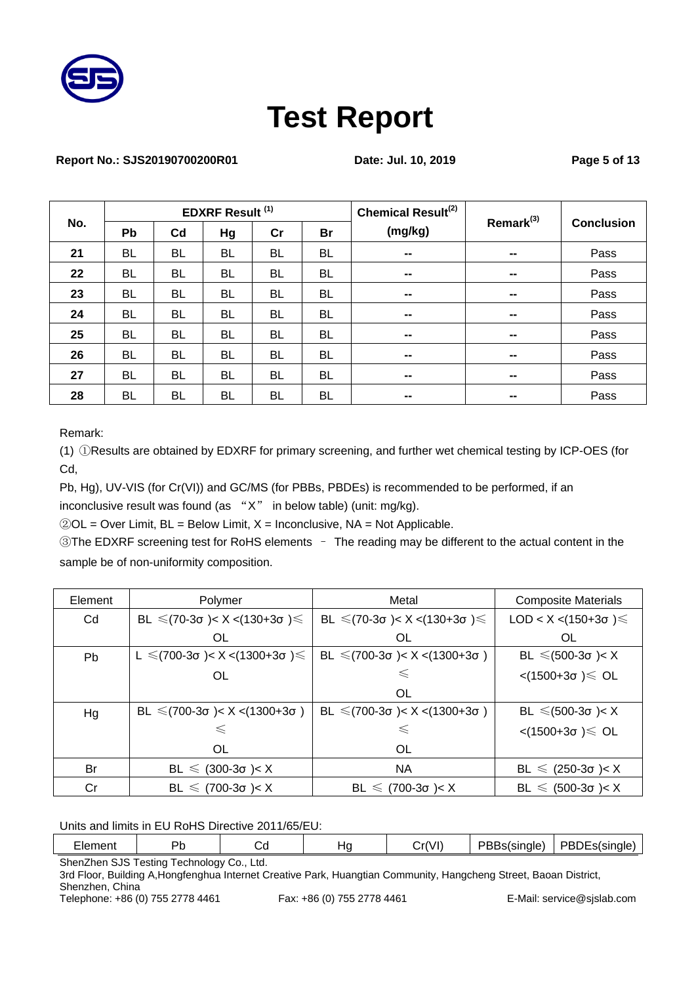

#### **Report No.: SJS20190700200R01 Date: Jul. 10, 2019 Page 5 of 13**

|     |           |                | <b>EDXRF Result (1)</b> |           |           | Chemical Result <sup>(2)</sup> | Remark <sup>(3)</sup>    |                   |
|-----|-----------|----------------|-------------------------|-----------|-----------|--------------------------------|--------------------------|-------------------|
| No. | Pb        | C <sub>d</sub> | Hg                      | cr        | <b>Br</b> | (mg/kg)                        |                          | <b>Conclusion</b> |
| 21  | <b>BL</b> | <b>BL</b>      | <b>BL</b>               | <b>BL</b> | <b>BL</b> | $\sim$                         | $\blacksquare$           | Pass              |
| 22  | <b>BL</b> | <b>BL</b>      | <b>BL</b>               | <b>BL</b> | <b>BL</b> | $\qquad \qquad \blacksquare$   | $\overline{\phantom{a}}$ | Pass              |
| 23  | <b>BL</b> | <b>BL</b>      | <b>BL</b>               | <b>BL</b> | <b>BL</b> | $\sim$                         | $\overline{\phantom{a}}$ | Pass              |
| 24  | <b>BL</b> | <b>BL</b>      | <b>BL</b>               | <b>BL</b> | <b>BL</b> | $\hspace{0.05cm}$              | $\blacksquare$           | Pass              |
| 25  | <b>BL</b> | <b>BL</b>      | <b>BL</b>               | BL        | BL        | $\sim$                         | $\blacksquare$           | Pass              |
| 26  | <b>BL</b> | <b>BL</b>      | <b>BL</b>               | <b>BL</b> | <b>BL</b> | $\mathbf{m}$                   | $\blacksquare$           | Pass              |
| 27  | <b>BL</b> | <b>BL</b>      | <b>BL</b>               | BL        | BL        | $\sim$                         | $\blacksquare$           | Pass              |
| 28  | <b>BL</b> | <b>BL</b>      | <b>BL</b>               | <b>BL</b> | BL        | $\mathbf{m}$                   | $\blacksquare$           | Pass              |

Remark:

(1) ①Results are obtained by EDXRF for primary screening, and further wet chemical testing by ICP-OES (for Cd,

Pb, Hg), UV-VIS (for Cr(VI)) and GC/MS (for PBBs, PBDEs) is recommended to be performed, if an inconclusive result was found (as "X" in below table) (unit: mg/kg).

 $@OL = Over Limit, BL = Below Limit, X = Inconclusive, NA = Not Applicable.$ 

③The EDXRF screening test for RoHS elements – The reading may be different to the actual content in the sample be of non-uniformity composition.

| Element   | Polymer                          | Metal                                              | <b>Composite Materials</b>    |  |
|-----------|----------------------------------|----------------------------------------------------|-------------------------------|--|
| Cd        | BL ≤(70-3σ)< X <(130+3σ)≤        | BL ≤(70-3σ)< X <(130+3σ)≤                          | LOD < X <(150+3 $\sigma$ )≤   |  |
|           | OL                               | OL.                                                | OL                            |  |
| <b>Pb</b> | L ≤(700-3σ)< X <(1300+3σ)≤       | BL $\leq$ (700-3 $\sigma$ )< X <(1300+3 $\sigma$ ) | BL ≤(500-3σ)< X               |  |
|           | <b>OL</b>                        | $\leq$                                             | $\langle$ (1500+3σ) $\leq$ OL |  |
|           |                                  | 0L                                                 |                               |  |
| Hg        | BL $\leq$ (700-3σ)< X <(1300+3σ) | BL $\leq$ (700-3 $\sigma$ )< X <(1300+3 $\sigma$ ) | BL ≤(500-3σ)< X               |  |
|           |                                  | $\leq$                                             | $\langle$ (1500+3σ) $\leq$ OL |  |
|           | OL.                              | 0L                                                 |                               |  |
| Br        | $BL \le (300-3\sigma) < X$       | NA                                                 | BL $\le$ (250-3σ)< X          |  |
| Cr        | BL $\leq$ (700-3σ)< X            | BL $\leq$ (700-3σ)< X                              | BL $\le$ (500-3σ)< X          |  |

Units and limits in EU RoHS Directive 2011/65/EU:

| ∹lemen⊾            | ים                               | u        | ٦C | Cr(VI)<br>' اب | ססם<br>'BBs(single. | PBDEs(single |
|--------------------|----------------------------------|----------|----|----------------|---------------------|--------------|
| Chan7hon<br>$C$ IC | Tooting.<br>$I$ cohnology $I$ 'o | $+ \sim$ |    |                |                     |              |

ShenZhen SJS Testing Technology Co., Ltd.

3rd Floor, Building A, Hongfenghua Internet Creative Park, Huangtian Community, Hangcheng Street, Baoan District, Shenzhen, China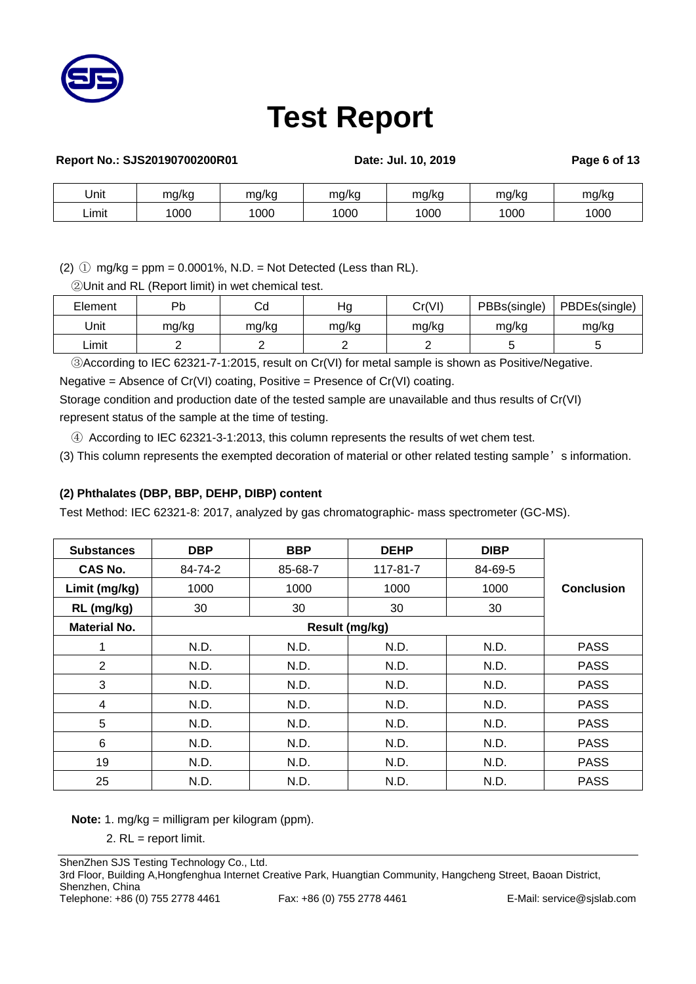

| Report No.: SJS20190700200R01 |       |       | Date: Jul. 10, 2019 |       |       | Page 6 of 13 |
|-------------------------------|-------|-------|---------------------|-------|-------|--------------|
| Jnit                          | mg/kg | mg/kg | mg/kg               | mg/kg | mg/kg | mg/kg        |
| _imit                         | 1000  | 1000  | 1000                | 1000  | 1000  | 1000         |

(2)  $\circled{1}$  mg/kg = ppm = 0.0001%, N.D. = Not Detected (Less than RL).

②Unit and RL (Report limit) in wet chemical test.

| Element | Dh    | Cd    | Ηq    | Cr(VI) | PBBs(single) | PBDEs(single) |
|---------|-------|-------|-------|--------|--------------|---------------|
| Unit    | mg/kg | mg/kg | mg/kg | mg/kg  | mg/kg        | mg/kg         |
| Limit   |       |       |       |        |              |               |

③According to IEC 62321-7-1:2015, result on Cr(VI) for metal sample is shown as Positive/Negative.

Negative = Absence of Cr(VI) coating, Positive = Presence of Cr(VI) coating.

Storage condition and production date of the tested sample are unavailable and thus results of Cr(VI) represent status of the sample at the time of testing.

④ According to IEC 62321-3-1:2013, this column represents the results of wet chem test.

(3) This column represents the exempted decoration of material or other related testing sample's information.

### **(2) Phthalates (DBP, BBP, DEHP, DIBP) content**

Test Method: IEC 62321-8: 2017, analyzed by gas chromatographic- mass spectrometer (GC-MS).

| <b>Substances</b>   | <b>DBP</b>     | <b>BBP</b> | <b>DEHP</b>    | <b>DIBP</b> |                   |
|---------------------|----------------|------------|----------------|-------------|-------------------|
| CAS No.             | 84-74-2        | 85-68-7    | $117 - 81 - 7$ | 84-69-5     |                   |
| Limit (mg/kg)       | 1000           | 1000       | 1000           | 1000        | <b>Conclusion</b> |
| RL (mg/kg)          | 30             | 30         | 30             | 30          |                   |
| <b>Material No.</b> | Result (mg/kg) |            |                |             |                   |
| 1                   | N.D.           | N.D.       | N.D.           | N.D.        | <b>PASS</b>       |
| $\overline{2}$      | N.D.           | N.D.       | N.D.           | N.D.        | <b>PASS</b>       |
| 3                   | N.D.           | N.D.       | N.D.           | N.D.        | <b>PASS</b>       |
| $\overline{4}$      | N.D.           | N.D.       | N.D.           | N.D.        | <b>PASS</b>       |
| 5                   | N.D.           | N.D.       | N.D.           | N.D.        | <b>PASS</b>       |
| 6                   | N.D.           | N.D.       | N.D.           | N.D.        | <b>PASS</b>       |
| 19                  | N.D.           | N.D.       | N.D.           | N.D.        | <b>PASS</b>       |
| 25                  | N.D.           | N.D.       | N.D.           | N.D.        | <b>PASS</b>       |

**Note:** 1. mg/kg = milligram per kilogram (ppm).

2. RL = report limit.

3rd Floor, Building A,Hongfenghua Internet Creative Park, Huangtian Community, Hangcheng Street, Baoan District, Shenzhen, China

Telephone: +86 (0) 755 2778 4461 Fax: +86 (0) 755 2778 4461 E-Mail: service@sjslab.com

ShenZhen SJS Testing Technology Co., Ltd.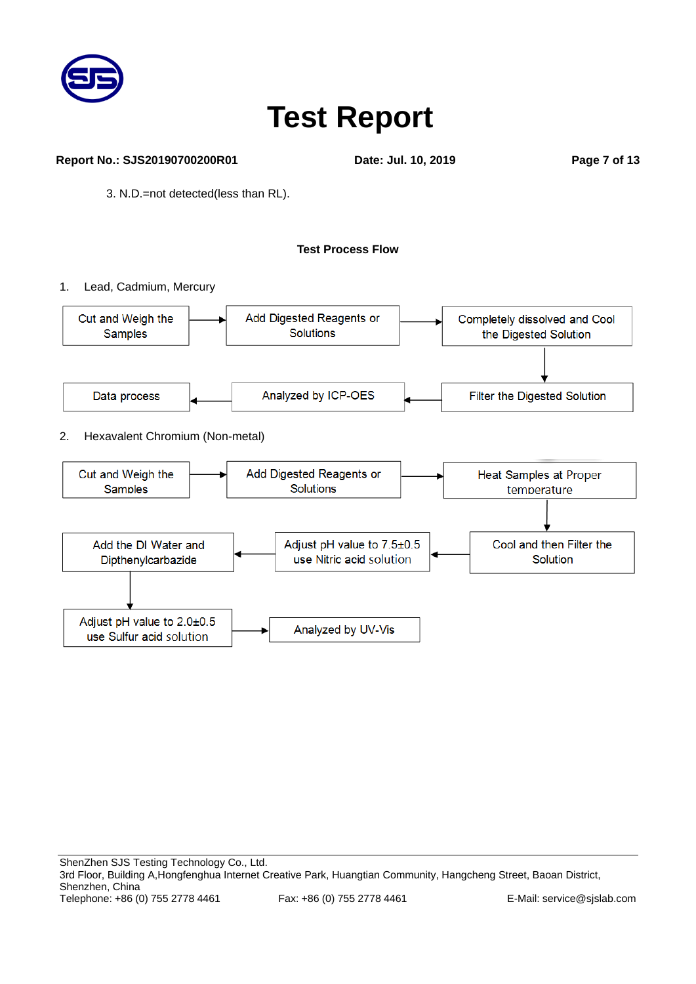

#### **Report No.: SJS20190700200R01 Date: Jul. 10, 2019 Page 7 of 13**

3. N.D.=not detected(less than RL).

### **Test Process Flow**

1. Lead, Cadmium, Mercury

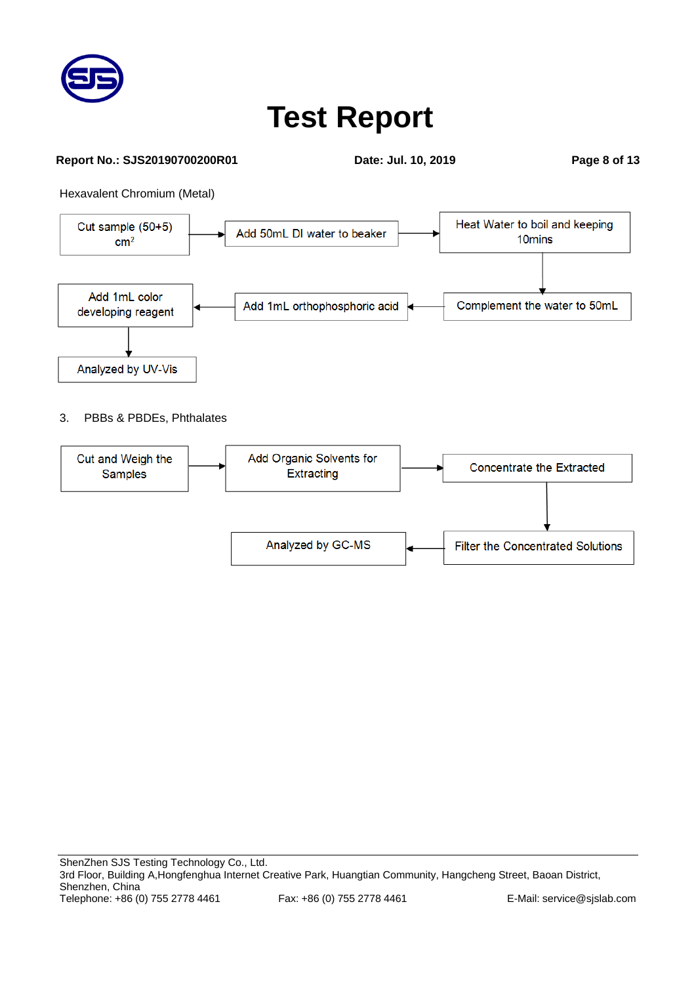

#### **Report No.: SJS20190700200R01 Date: Jul. 10, 2019 Page 8 of 13**

Hexavalent Chromium (Metal)



### 3. PBBs & PBDEs, Phthalates

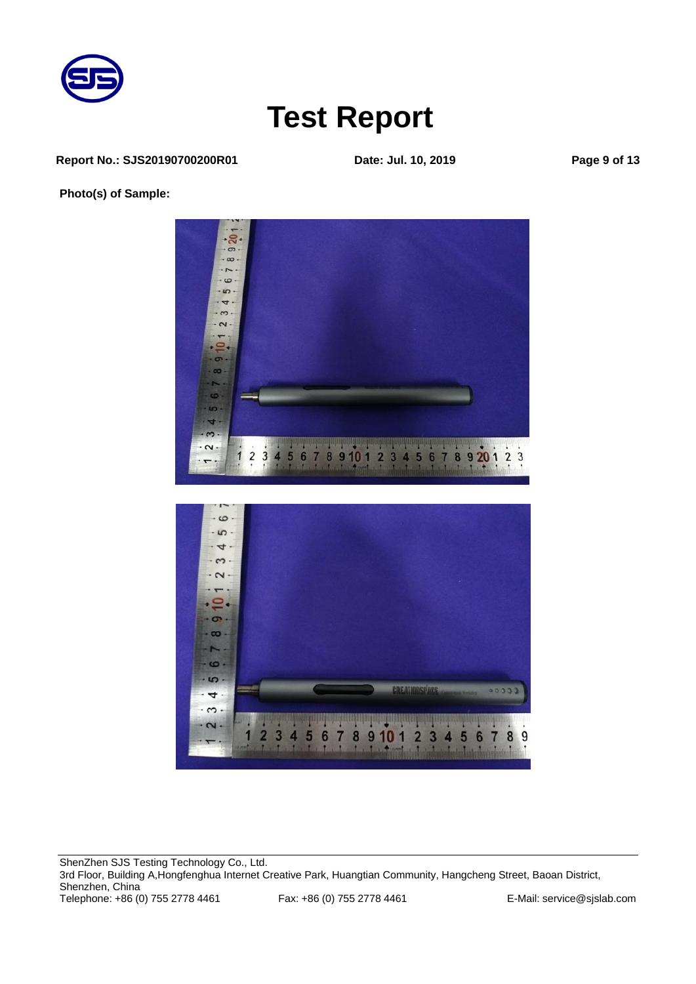

#### **Report No.: SJS20190700200R01 Date: Jul. 10, 2019 Page 9 of 13**

**Photo(s) of Sample:**



ShenZhen SJS Testing Technology Co., Ltd. 3rd Floor, Building A, Hongfenghua Internet Creative Park, Huangtian Community, Hangcheng Street, Baoan District, Shenzhen, China Telephone: +86 (0) 755 2778 4461 Fax: +86 (0) 755 2778 4461 E-Mail: service@sjslab.com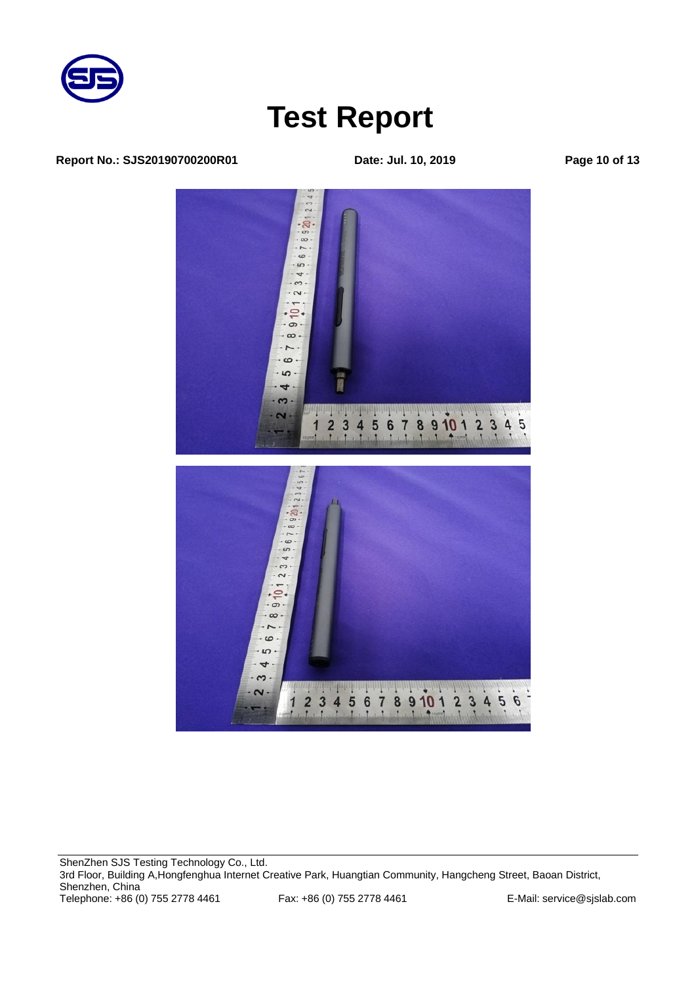

#### **Report No.: SJS20190700200R01 Date: Jul. 10, 2019 Page 10 of 13**



ShenZhen SJS Testing Technology Co., Ltd. 3rd Floor, Building A, Hongfenghua Internet Creative Park, Huangtian Community, Hangcheng Street, Baoan District, Shenzhen, China Telephone: +86 (0) 755 2778 4461 Fax: +86 (0) 755 2778 4461 E-Mail: service@sjslab.com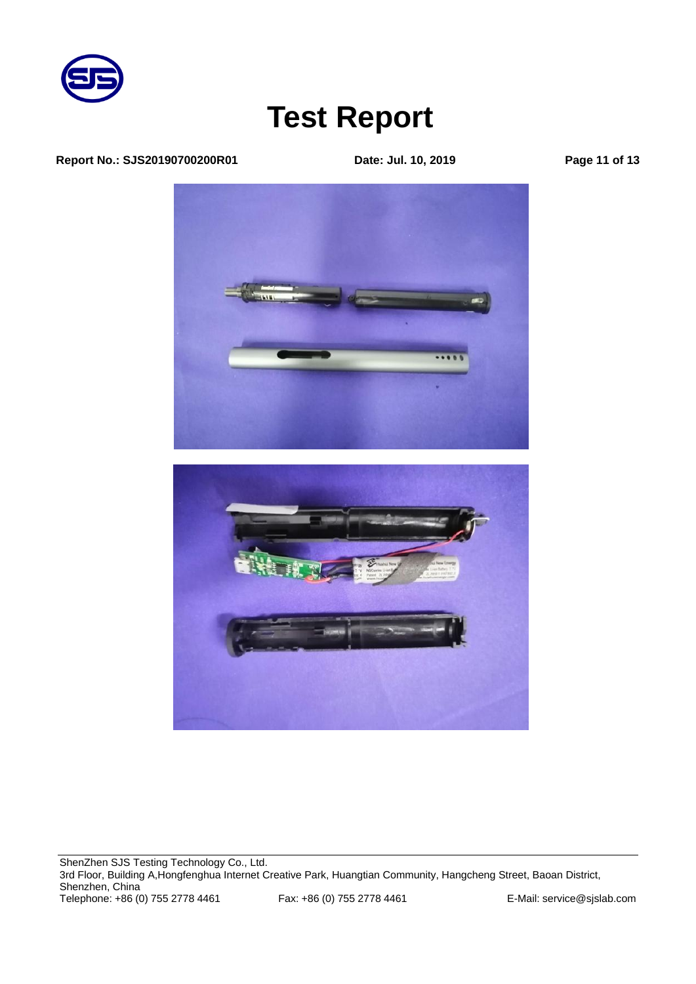

#### **Report No.: SJS20190700200R01 Date: Jul. 10, 2019 Page 11 of 13**

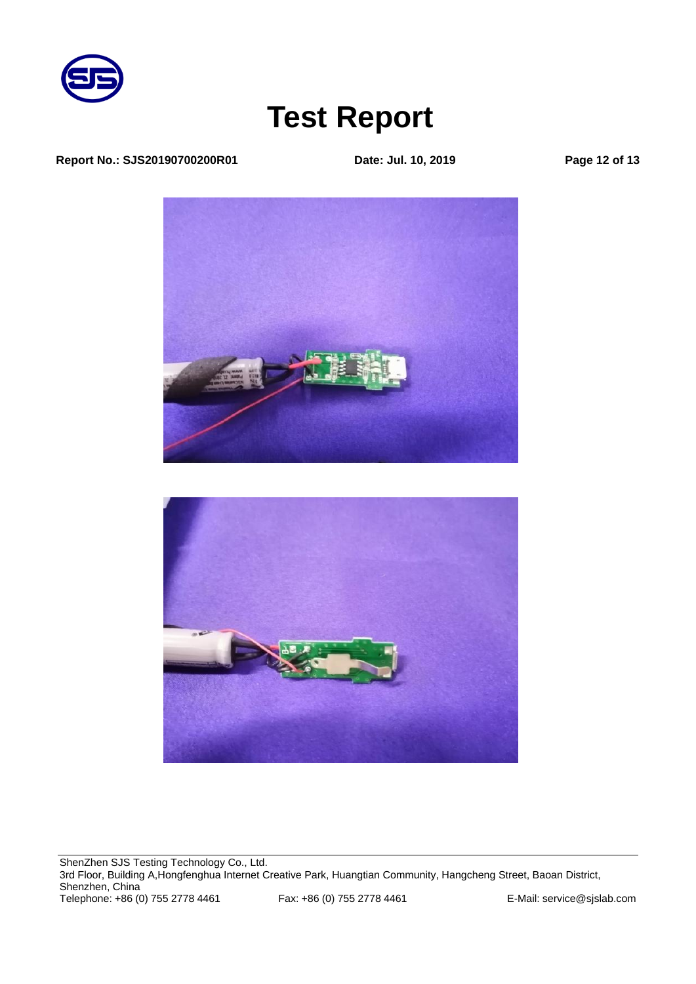

### **Report No.: SJS20190700200R01 Date: Jul. 10, 2019 Page 12 of 13**





ShenZhen SJS Testing Technology Co., Ltd. 3rd Floor, Building A,Hongfenghua Internet Creative Park, Huangtian Community, Hangcheng Street, Baoan District, Shenzhen, China Telephone: +86 (0) 755 2778 4461 Fax: +86 (0) 755 2778 4461 E-Mail: service@sjslab.com